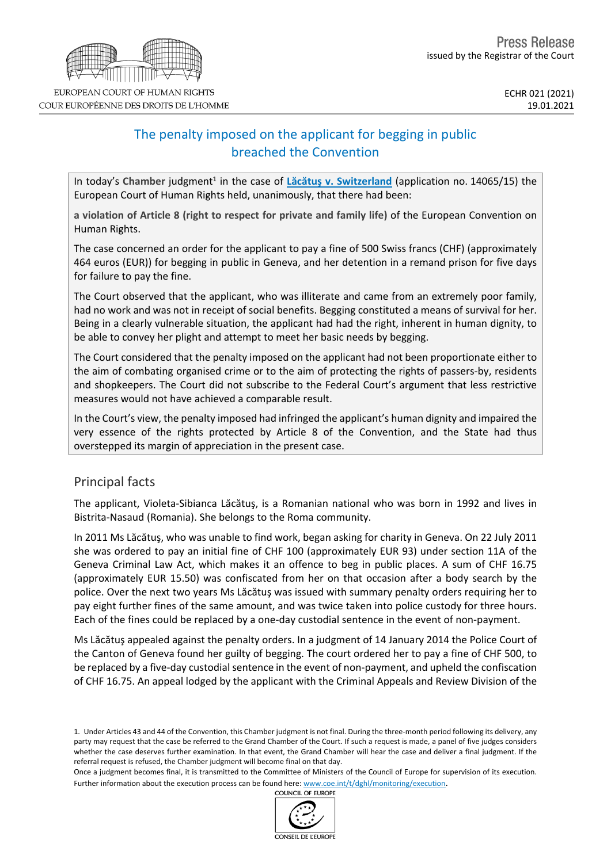# The penalty imposed on the applicant for begging in public breached the Convention

In today's Chamber judgment<sup>1</sup> in the case of Lăcătus v. [Switzerland](http://hudoc.echr.coe.int/eng?i=001-207377) (application no. 14065/15) the European Court of Human Rights held, unanimously, that there had been:

**a violation of Article 8 (right to respect for private and family life)** of the European Convention on Human Rights.

The case concerned an order for the applicant to pay a fine of 500 Swiss francs (CHF) (approximately 464 euros (EUR)) for begging in public in Geneva, and her detention in a remand prison for five days for failure to pay the fine.

The Court observed that the applicant, who was illiterate and came from an extremely poor family, had no work and was not in receipt of social benefits. Begging constituted a means of survival for her. Being in a clearly vulnerable situation, the applicant had had the right, inherent in human dignity, to be able to convey her plight and attempt to meet her basic needs by begging.

The Court considered that the penalty imposed on the applicant had not been proportionate either to the aim of combating organised crime or to the aim of protecting the rights of passers-by, residents and shopkeepers. The Court did not subscribe to the Federal Court's argument that less restrictive measures would not have achieved a comparable result.

In the Court's view, the penalty imposed had infringed the applicant's human dignity and impaired the very essence of the rights protected by Article 8 of the Convention, and the State had thus overstepped its margin of appreciation in the present case.

# Principal facts

The applicant, Violeta-Sibianca Lăcătuş, is a Romanian national who was born in 1992 and lives in Bistrita-Nasaud (Romania). She belongs to the Roma community.

In 2011 Ms Lăcătuş, who was unable to find work, began asking for charity in Geneva. On 22 July 2011 she was ordered to pay an initial fine of CHF 100 (approximately EUR 93) under section 11A of the Geneva Criminal Law Act, which makes it an offence to beg in public places. A sum of CHF 16.75 (approximately EUR 15.50) was confiscated from her on that occasion after a body search by the police. Over the next two years Ms Lăcătuş was issued with summary penalty orders requiring her to pay eight further fines of the same amount, and was twice taken into police custody for three hours. Each of the fines could be replaced by a one-day custodial sentence in the event of non-payment.

Ms Lăcătuş appealed against the penalty orders. In a judgment of 14 January 2014 the Police Court of the Canton of Geneva found her guilty of begging. The court ordered her to pay a fine of CHF 500, to be replaced by a five-day custodial sentence in the event of non-payment, and upheld the confiscation of CHF 16.75. An appeal lodged by the applicant with the Criminal Appeals and Review Division of the





<sup>1.</sup> Under Articles 43 and 44 of the Convention, this Chamber judgment is not final. During the three-month period following its delivery, any party may request that the case be referred to the Grand Chamber of the Court. If such a request is made, a panel of five judges considers whether the case deserves further examination. In that event, the Grand Chamber will hear the case and deliver a final judgment. If the referral request is refused, the Chamber judgment will become final on that day.

Once a judgment becomes final, it is transmitted to the Committee of Ministers of the Council of Europe for supervision of its execution. Further information about the execution process can be found here: [www.coe.int/t/dghl/monitoring/execution](http://www.coe.int/t/dghl/monitoring/execution).<br>COUNCIL OF EUROPE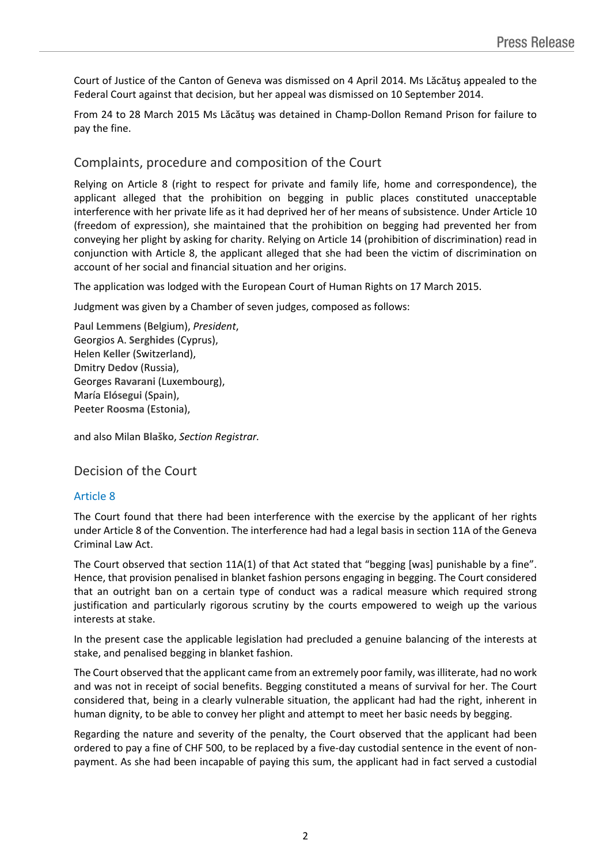Court of Justice of the Canton of Geneva was dismissed on 4 April 2014. Ms Lăcătuş appealed to the Federal Court against that decision, but her appeal was dismissed on 10 September 2014.

From 24 to 28 March 2015 Ms Lăcătuş was detained in Champ-Dollon Remand Prison for failure to pay the fine.

# Complaints, procedure and composition of the Court

Relying on Article 8 (right to respect for private and family life, home and correspondence), the applicant alleged that the prohibition on begging in public places constituted unacceptable interference with her private life as it had deprived her of her means of subsistence. Under Article 10 (freedom of expression), she maintained that the prohibition on begging had prevented her from conveying her plight by asking for charity. Relying on Article 14 (prohibition of discrimination) read in conjunction with Article 8, the applicant alleged that she had been the victim of discrimination on account of her social and financial situation and her origins.

The application was lodged with the European Court of Human Rights on 17 March 2015.

Judgment was given by a Chamber of seven judges, composed as follows:

Paul **Lemmens** (Belgium), *President*, Georgios A. **Serghides** (Cyprus), Helen **Keller** (Switzerland), Dmitry **Dedov** (Russia), Georges **Ravarani** (Luxembourg), María **Elósegui** (Spain), Peeter **Roosma** (Estonia),

and also Milan **Blaško**, *Section Registrar.*

Decision of the Court

## Article 8

The Court found that there had been interference with the exercise by the applicant of her rights under Article 8 of the Convention. The interference had had a legal basis in section 11A of the Geneva Criminal Law Act.

The Court observed that section 11A(1) of that Act stated that "begging [was] punishable by a fine". Hence, that provision penalised in blanket fashion persons engaging in begging. The Court considered that an outright ban on a certain type of conduct was a radical measure which required strong justification and particularly rigorous scrutiny by the courts empowered to weigh up the various interests at stake.

In the present case the applicable legislation had precluded a genuine balancing of the interests at stake, and penalised begging in blanket fashion.

The Court observed that the applicant came from an extremely poor family, wasilliterate, had no work and was not in receipt of social benefits. Begging constituted a means of survival for her. The Court considered that, being in a clearly vulnerable situation, the applicant had had the right, inherent in human dignity, to be able to convey her plight and attempt to meet her basic needs by begging.

Regarding the nature and severity of the penalty, the Court observed that the applicant had been ordered to pay a fine of CHF 500, to be replaced by a five-day custodial sentence in the event of nonpayment. As she had been incapable of paying this sum, the applicant had in fact served a custodial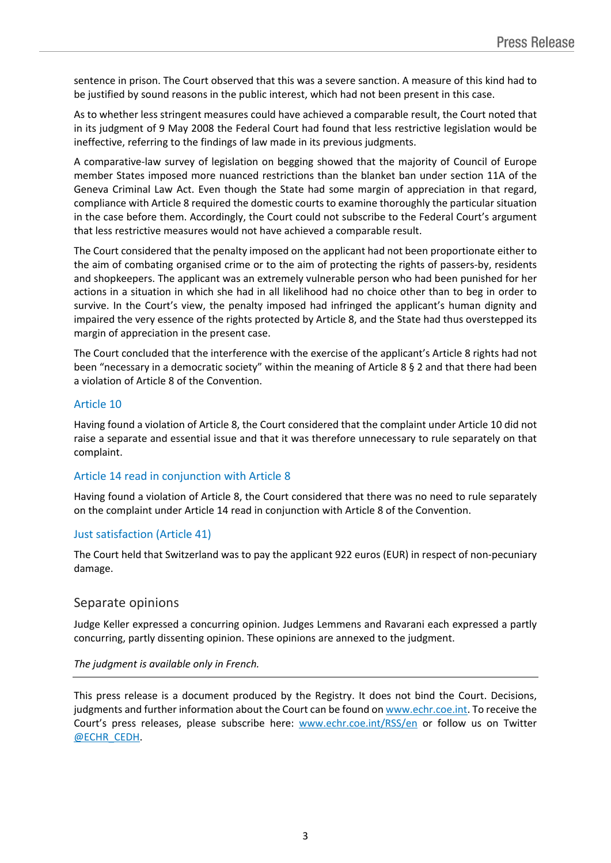sentence in prison. The Court observed that this was a severe sanction. A measure of this kind had to be justified by sound reasons in the public interest, which had not been present in this case.

As to whether less stringent measures could have achieved a comparable result, the Court noted that in its judgment of 9 May 2008 the Federal Court had found that less restrictive legislation would be ineffective, referring to the findings of law made in its previous judgments.

A comparative-law survey of legislation on begging showed that the majority of Council of Europe member States imposed more nuanced restrictions than the blanket ban under section 11A of the Geneva Criminal Law Act. Even though the State had some margin of appreciation in that regard, compliance with Article 8 required the domestic courts to examine thoroughly the particular situation in the case before them. Accordingly, the Court could not subscribe to the Federal Court's argument that less restrictive measures would not have achieved a comparable result.

The Court considered that the penalty imposed on the applicant had not been proportionate either to the aim of combating organised crime or to the aim of protecting the rights of passers-by, residents and shopkeepers. The applicant was an extremely vulnerable person who had been punished for her actions in a situation in which she had in all likelihood had no choice other than to beg in order to survive. In the Court's view, the penalty imposed had infringed the applicant's human dignity and impaired the very essence of the rights protected by Article 8, and the State had thus overstepped its margin of appreciation in the present case.

The Court concluded that the interference with the exercise of the applicant's Article 8 rights had not been "necessary in a democratic society" within the meaning of Article 8 § 2 and that there had been a violation of Article 8 of the Convention.

#### Article 10

Having found a violation of Article 8, the Court considered that the complaint under Article 10 did not raise a separate and essential issue and that it was therefore unnecessary to rule separately on that complaint.

#### Article 14 read in conjunction with Article 8

Having found a violation of Article 8, the Court considered that there was no need to rule separately on the complaint under Article 14 read in conjunction with Article 8 of the Convention.

## Just satisfaction (Article 41)

The Court held that Switzerland was to pay the applicant 922 euros (EUR) in respect of non-pecuniary damage.

## Separate opinions

Judge Keller expressed a concurring opinion. Judges Lemmens and Ravarani each expressed a partly concurring, partly dissenting opinion. These opinions are annexed to the judgment.

#### *The judgment is available only in French.*

This press release is a document produced by the Registry. It does not bind the Court. Decisions, judgments and further information about the Court can be found on [www.echr.coe.int.](http://www.echr.coe.int/) To receive the Court's press releases, please subscribe here: [www.echr.coe.int/RSS/en](http://www.echr.coe.int/RSS/en) or follow us on Twitter [@ECHR\\_CEDH](https://twitter.com/ECHR_CEDH).